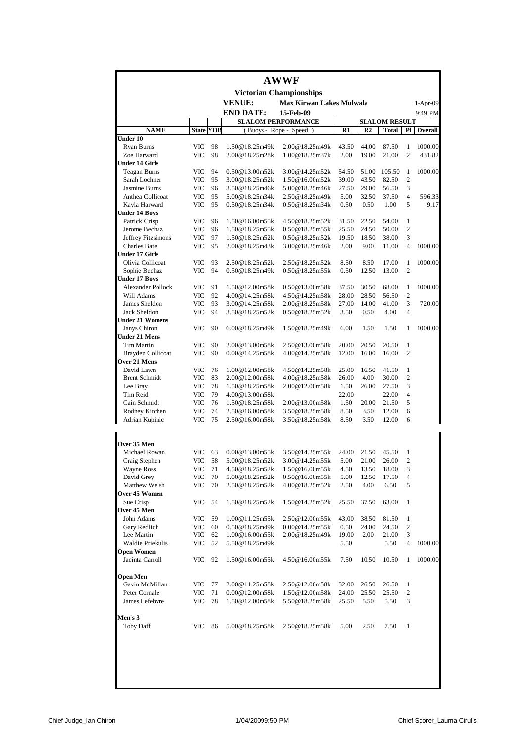|                                                  |                   |                  |                                  | <b>AWWF</b>                      |                |                |                      |                |            |
|--------------------------------------------------|-------------------|------------------|----------------------------------|----------------------------------|----------------|----------------|----------------------|----------------|------------|
|                                                  |                   |                  |                                  | <b>Victorian Championships</b>   |                |                |                      |                |            |
|                                                  |                   |                  | <b>VENUE:</b>                    | <b>Max Kirwan Lakes Mulwala</b>  |                |                |                      |                | $1-Apr-09$ |
|                                                  |                   |                  | <b>END DATE:</b>                 | 15-Feb-09                        |                |                |                      |                | 9:49 PM    |
|                                                  |                   |                  |                                  | <b>SLALOM PERFORMANCE</b>        |                |                | <b>SLALOM RESULT</b> |                |            |
| <b>NAME</b>                                      |                   | <b>State YOB</b> |                                  | (Buoys - Rope - Speed)           | R1             | R <sub>2</sub> | Total                | Pl             | Overall    |
| <b>Under 10</b>                                  | <b>VIC</b>        | 98               | 1.50@18.25m49k                   | 2.00@18.25m49k                   | 43.50          | 44.00          | 87.50                | 1              | 1000.00    |
| <b>Ryan Burns</b><br>Zoe Harward                 | <b>VIC</b>        | 98               | 2.00@18.25m28k                   | 1.00@18.25m37k                   | 2.00           | 19.00          | 21.00                | $\overline{c}$ | 431.82     |
| <b>Under 14 Girls</b>                            |                   |                  |                                  |                                  |                |                |                      |                |            |
| <b>Teagan Burns</b>                              | VIC               | 94               | 0.50@13.00m52k                   | 3.00@14.25m52k                   | 54.50          | 51.00          | 105.50               | 1              | 1000.00    |
| Sarah Lochner                                    | VIC               | 95               | 3.00@18.25m52k                   | 1.50@16.00m52k                   | 39.00          | 43.50          | 82.50                | $\overline{c}$ |            |
| <b>Jasmine Burns</b>                             | VIC               | 96               | 3.50@18.25m46k                   | 5.00@18.25m46k                   | 27.50          | 29.00          | 56.50                | 3              |            |
| Anthea Collicoat                                 | VIC               | 95               | 5.00@18.25m34k                   | 2.50@18.25m49k                   | 5.00           | 32.50          | 37.50                | $\overline{4}$ | 596.33     |
| Kayla Harward                                    | <b>VIC</b>        | 95               | 0.50@18.25m34k                   | 0.50@18.25m34k                   | 0.50           | 0.50           | 1.00                 | 5              | 9.17       |
| <b>Under 14 Boys</b><br>Patrick Crisp            | <b>VIC</b>        | 96               | 1.50@16.00m55k                   | 4.50@18.25m52k                   | 31.50          | 22.50          | 54.00                | 1              |            |
| Jerome Bechaz                                    | <b>VIC</b>        | 96               | 1.50@18.25m55k                   | 0.50@18.25m55k                   | 25.50          | 24.50          | 50.00                | 2              |            |
| Jeffrey Fitzsimons                               | <b>VIC</b>        | 97               | 1.50@18.25m52k                   | 0.50@18.25m52k                   | 19.50          | 18.50          | 38.00                | 3              |            |
| <b>Charles Bate</b>                              | VIC               | 95               | 2.00@18.25m43k                   | 3.00@18.25m46k                   | 2.00           | 9.00           | 11.00                | $\overline{4}$ | 1000.00    |
| <b>Under 17 Girls</b>                            |                   |                  |                                  |                                  |                |                |                      |                |            |
| Olivia Collicoat                                 | VIC               | 93               | 2.50@18.25m52k                   | 2.50@18.25m52k                   | 8.50           | 8.50           | 17.00                | 1              | 1000.00    |
| Sophie Bechaz                                    | <b>VIC</b>        | 94               | 0.50@18.25m49k                   | 0.50@18.25m55k                   | 0.50           | 12.50          | 13.00                | $\overline{c}$ |            |
| <b>Under 17 Boys</b><br><b>Alexander Pollock</b> |                   |                  |                                  |                                  |                |                |                      |                |            |
| Will Adams                                       | <b>VIC</b><br>VIC | 91<br>92         | 1.50@12.00m58k<br>4.00@14.25m58k | 0.50@13.00m58k<br>4.50@14.25m58k | 37.50<br>28.00 | 30.50<br>28.50 | 68.00<br>56.50       | 1<br>2         | 1000.00    |
| James Sheldon                                    | VIC               | 93               | 3.00@14.25m58k                   | 2.00@18.25m58k                   | 27.00          | 14.00          | 41.00                | 3              | 720.00     |
| <b>Jack Sheldon</b>                              | VIC               | 94               | 3.50@18.25m52k                   | 0.50@18.25m52k                   | 3.50           | 0.50           | 4.00                 | $\overline{4}$ |            |
| <b>Under 21 Womens</b>                           |                   |                  |                                  |                                  |                |                |                      |                |            |
| Janys Chiron                                     | <b>VIC</b>        | 90               | 6.00@18.25m49k                   | 1.50@18.25m49k                   | 6.00           | 1.50           | 1.50                 | 1              | 1000.00    |
| <b>Under 21 Mens</b>                             |                   |                  |                                  |                                  |                |                |                      |                |            |
| <b>Tim Martin</b>                                | <b>VIC</b>        | 90               | 2.00@13.00m58k                   | 2.50@13.00m58k                   | 20.00          | 20.50          | 20.50                | 1              |            |
| <b>Brayden Collicoat</b>                         | VIC               | 90               | 0.00@14.25m58k                   | 4.00@14.25m58k                   | 12.00          | 16.00          | 16.00                | $\overline{c}$ |            |
| Over 21 Mens<br>David Lawn                       | <b>VIC</b>        | 76               | 1.00@12.00m58k                   | 4.50@14.25m58k                   | 25.00          | 16.50          | 41.50                | 1              |            |
| <b>Brent Schmidt</b>                             | VIC               | 83               | 2.00@12.00m58k                   | 4.00@18.25m58k                   | 26.00          | 4.00           | 30.00                | $\overline{c}$ |            |
| Lee Bray                                         | VIC               | 78               | 1.50@18.25m58k                   | 2.00@12.00m58k                   | 1.50           | 26.00          | 27.50                | 3              |            |
| Tim Reid                                         | VIC               | 79               | 4.00@13.00m58k                   |                                  | 22.00          |                | 22.00                | 4              |            |
| Cain Schmidt                                     | <b>VIC</b>        | 76               | 1.50@18.25m58k                   | 2.00@13.00m58k                   | 1.50           | 20.00          | 21.50                | 5              |            |
| Rodney Kitchen                                   | <b>VIC</b>        | 74               | 2.50@16.00m58k                   | 3.50@18.25m58k                   | 8.50           | 3.50           | 12.00                | 6              |            |
| Adrian Kupinic                                   | VIC               | 75               | 2.50@16.00m58k                   | 3.50@18.25m58k                   | 8.50           | 3.50           | 12.00                | 6              |            |
| Over 35 Men                                      |                   |                  |                                  |                                  |                |                |                      |                |            |
| Michael Rowan                                    | VIC               | 63               | 0.00@13.00m55k                   | 3.50@14.25m55k                   | 24.00          | 21.50          | 45.50                | 1              |            |
| Craig Stephen                                    | VIC               | 58               | 5.00@18.25m52k                   | 3.00@14.25m55k                   | 5.00           | 21.00          | 26.00                | $\overline{c}$ |            |
| Wayne Ross                                       | VIC               | 71               | 4.50@18.25m52k                   | 1.50@16.00m55k                   | 4.50           | 13.50          | 18.00                | 3              |            |
| David Grey<br>Matthew Welsh                      | VIC<br>VIC        | 70<br>70         | 5.00@18.25m52k<br>2.50@18.25m52k | 0.50@16.00m55k<br>4.00@18.25m52k | 5.00<br>2.50   | 12.50<br>4.00  | 17.50<br>6.50        | 4<br>5         |            |
| Over 45 Women                                    |                   |                  |                                  |                                  |                |                |                      |                |            |
| Sue Crisp                                        | VIC               | 54               | 1.50@18.25m52k                   | 1.50@14.25m52k                   | 25.50          | 37.50          | 63.00                | $\mathbf{1}$   |            |
| Over 45 Men                                      |                   |                  |                                  |                                  |                |                |                      |                |            |
| John Adams                                       | VIC               | 59               | 1.00@11.25m55k                   | 2.50@12.00m55k                   | 43.00          | 38.50          | 81.50                | 1              |            |
| Gary Redlich                                     | VIC               | 60               | 0.50@18.25m49k                   | 0.00@14.25m55k                   | 0.50           | 24.00          | 24.50                | 2              |            |
| Lee Martin                                       | VIC               | 62               | 1.00@16.00m55k                   | 2.00@18.25m49k                   | 19.00          | 2.00           | 21.00                | 3              |            |
| Waldie Priekulis                                 | VIC               | 52               | 5.50@18.25m49k                   |                                  | 5.50           |                | 5.50                 | 4              | 1000.00    |
| <b>Open Women</b><br>Jacinta Carroll             | VIC               | 92               | 1.50@16.00m55k                   | 4.50@16.00m55k                   | 7.50           | 10.50          | 10.50                | 1              | 1000.00    |
| <b>Open Men</b>                                  |                   |                  |                                  |                                  |                |                |                      |                |            |
| Gavin McMillan                                   | VIC               | 77               | 2.00@11.25m58k                   | 2.50@12.00m58k                   | 32.00          | 26.50          | 26.50                | 1              |            |
| Peter Cornale                                    | VIC               | 71               | 0.00@12.00m58k                   | 1.50@12.00m58k                   | 24.00          | 25.50          | 25.50                | 2              |            |
| James Lefebvre                                   | VIC               | 78               | 1.50@12.00m58k                   | 5.50@18.25m58k                   | 25.50          | 5.50           | 5.50                 | 3              |            |
| Men's 3                                          |                   |                  |                                  |                                  |                |                |                      |                |            |
| <b>Toby Daff</b>                                 | VIC               | 86               | 5.00@18.25m58k                   | 2.50@18.25m58k                   | 5.00           | 2.50           | 7.50                 | 1              |            |
|                                                  |                   |                  |                                  |                                  |                |                |                      |                |            |
|                                                  |                   |                  |                                  |                                  |                |                |                      |                |            |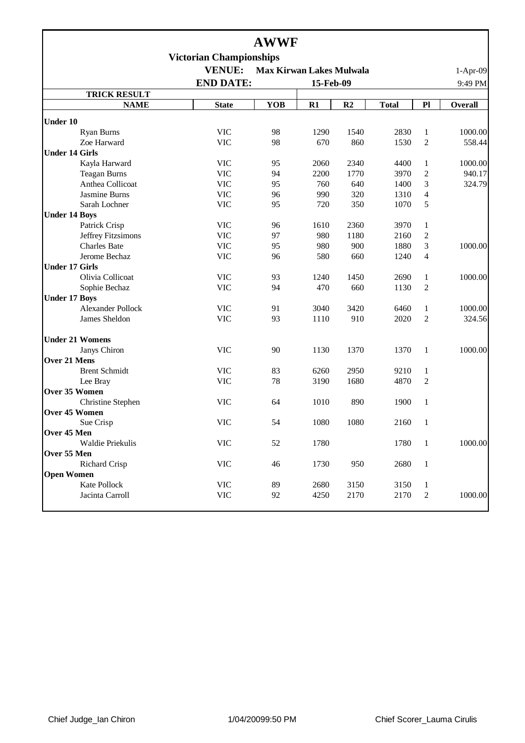|                          |                                | <b>AWWF</b> |                                 |                |              |                |                |  |  |
|--------------------------|--------------------------------|-------------|---------------------------------|----------------|--------------|----------------|----------------|--|--|
|                          | <b>Victorian Championships</b> |             |                                 |                |              |                |                |  |  |
|                          | <b>VENUE:</b>                  |             | <b>Max Kirwan Lakes Mulwala</b> |                |              |                | $1-Apr-09$     |  |  |
|                          | <b>END DATE:</b><br>15-Feb-09  |             |                                 |                |              |                |                |  |  |
| <b>TRICK RESULT</b>      |                                |             |                                 |                |              |                | 9:49 PM        |  |  |
| <b>NAME</b>              | <b>State</b>                   | <b>YOB</b>  | $R1$                            | R <sub>2</sub> | <b>Total</b> | P1             | <b>Overall</b> |  |  |
| <b>Under 10</b>          |                                |             |                                 |                |              |                |                |  |  |
| Ryan Burns               | <b>VIC</b>                     | 98          | 1290                            | 1540           | 2830         | $\mathbf{1}$   | 1000.00        |  |  |
| Zoe Harward              | <b>VIC</b>                     | 98          | 670                             | 860            | 1530         | $\overline{c}$ | 558.44         |  |  |
| <b>Under 14 Girls</b>    |                                |             |                                 |                |              |                |                |  |  |
| Kayla Harward            | <b>VIC</b>                     | 95          | 2060                            | 2340           | 4400         | $\mathbf{1}$   | 1000.00        |  |  |
| <b>Teagan Burns</b>      | <b>VIC</b>                     | 94          | 2200                            | 1770           | 3970         | $\overline{c}$ | 940.17         |  |  |
| Anthea Collicoat         | <b>VIC</b>                     | 95          | 760                             | 640            | 1400         | 3              | 324.79         |  |  |
| Jasmine Burns            | <b>VIC</b>                     | 96          | 990                             | 320            | 1310         | $\overline{4}$ |                |  |  |
| Sarah Lochner            | <b>VIC</b>                     | 95          | 720                             | 350            | 1070         | 5              |                |  |  |
| <b>Under 14 Boys</b>     |                                |             |                                 |                |              |                |                |  |  |
| Patrick Crisp            | <b>VIC</b>                     | 96          | 1610                            | 2360           | 3970         | $\mathbf 1$    |                |  |  |
| Jeffrey Fitzsimons       | <b>VIC</b>                     | 97          | 980                             | 1180           | 2160         | $\overline{2}$ |                |  |  |
| <b>Charles Bate</b>      | <b>VIC</b>                     | 95          | 980                             | 900            | 1880         | 3              | 1000.00        |  |  |
| Jerome Bechaz            | <b>VIC</b>                     | 96          | 580                             | 660            | 1240         | $\overline{4}$ |                |  |  |
| <b>Under 17 Girls</b>    |                                |             |                                 |                |              |                |                |  |  |
| Olivia Collicoat         | <b>VIC</b>                     | 93          | 1240                            | 1450           | 2690         | $\mathbf{1}$   | 1000.00        |  |  |
| Sophie Bechaz            | <b>VIC</b>                     | 94          | 470                             | 660            | 1130         | $\overline{2}$ |                |  |  |
| <b>Under 17 Boys</b>     |                                |             |                                 |                |              |                |                |  |  |
| <b>Alexander Pollock</b> | <b>VIC</b>                     | 91          | 3040                            | 3420           | 6460         | $\mathbf{1}$   | 1000.00        |  |  |
| James Sheldon            | <b>VIC</b>                     | 93          | 1110                            | 910            | 2020         | $\overline{2}$ | 324.56         |  |  |
| <b>Under 21 Womens</b>   |                                |             |                                 |                |              |                |                |  |  |
| Janys Chiron             | <b>VIC</b>                     | 90          | 1130                            | 1370           | 1370         | 1              | 1000.00        |  |  |
| <b>Over 21 Mens</b>      |                                |             |                                 |                |              |                |                |  |  |
| <b>Brent Schmidt</b>     | <b>VIC</b>                     | 83          | 6260                            | 2950           | 9210         | $\mathbf{1}$   |                |  |  |
| Lee Bray                 | <b>VIC</b>                     | 78          | 3190                            | 1680           | 4870         | $\overline{c}$ |                |  |  |
| Over 35 Women            |                                |             |                                 |                |              |                |                |  |  |
| <b>Christine Stephen</b> | <b>VIC</b>                     | 64          | 1010                            | 890            | 1900         | 1              |                |  |  |
| <b>Over 45 Women</b>     |                                |             |                                 |                |              |                |                |  |  |
| Sue Crisp                | <b>VIC</b>                     | 54          | 1080                            | 1080           | 2160         | $\mathbf{1}$   |                |  |  |
| Over 45 Men              |                                |             |                                 |                |              |                |                |  |  |
| Waldie Priekulis         | <b>VIC</b>                     | 52          | 1780                            |                | 1780         | 1              | 1000.00        |  |  |
| Over 55 Men              |                                |             |                                 |                |              |                |                |  |  |
| <b>Richard Crisp</b>     | <b>VIC</b>                     | 46          | 1730                            | 950            | 2680         | $\mathbf{1}$   |                |  |  |
| <b>Open Women</b>        |                                |             |                                 |                |              |                |                |  |  |
| Kate Pollock             | <b>VIC</b>                     | 89          | 2680                            | 3150           | 3150         | $\mathbf{1}$   |                |  |  |
| Jacinta Carroll          | <b>VIC</b>                     | 92          | 4250                            | 2170           | 2170         | 2              | 1000.00        |  |  |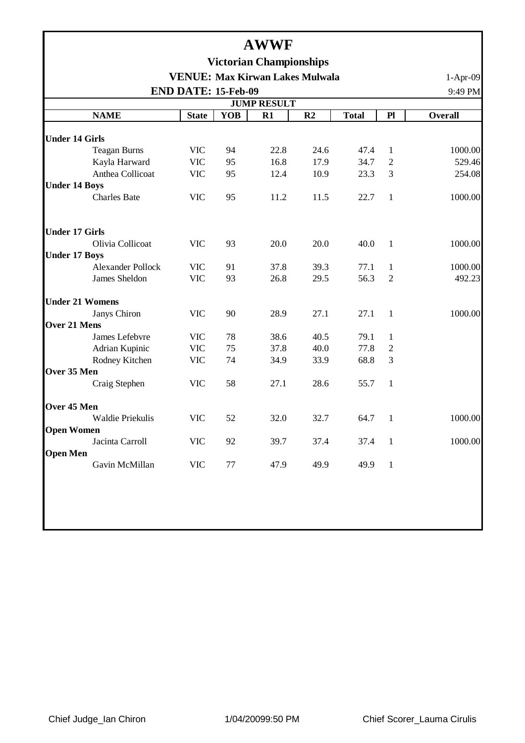|                                           |                          |              |            | <b>AWWF</b>                    |      |              |                |                |  |  |
|-------------------------------------------|--------------------------|--------------|------------|--------------------------------|------|--------------|----------------|----------------|--|--|
|                                           |                          |              |            | <b>Victorian Championships</b> |      |              |                |                |  |  |
|                                           |                          |              |            |                                |      |              |                | $1-Apr-09$     |  |  |
| <b>VENUE: Max Kirwan Lakes Mulwala</b>    |                          |              |            |                                |      |              |                |                |  |  |
| END DATE: 15-Feb-09<br><b>JUMP RESULT</b> |                          |              |            |                                |      |              |                |                |  |  |
|                                           | <b>NAME</b>              | <b>State</b> | <b>YOB</b> | R1                             | R2   | <b>Total</b> | P1             | <b>Overall</b> |  |  |
|                                           |                          |              |            |                                |      |              |                |                |  |  |
| <b>Under 14 Girls</b>                     |                          |              |            |                                |      |              |                |                |  |  |
|                                           | <b>Teagan Burns</b>      | <b>VIC</b>   | 94         | 22.8                           | 24.6 | 47.4         | $\mathbf{1}$   | 1000.00        |  |  |
|                                           | Kayla Harward            | <b>VIC</b>   | 95         | 16.8                           | 17.9 | 34.7         | $\overline{2}$ | 529.46         |  |  |
|                                           | Anthea Collicoat         | <b>VIC</b>   | 95         | 12.4                           | 10.9 | 23.3         | 3              | 254.08         |  |  |
| <b>Under 14 Boys</b>                      |                          |              |            |                                |      |              |                |                |  |  |
|                                           | <b>Charles Bate</b>      | <b>VIC</b>   | 95         | 11.2                           | 11.5 | 22.7         | $\mathbf{1}$   | 1000.00        |  |  |
| <b>Under 17 Girls</b>                     |                          |              |            |                                |      |              |                |                |  |  |
|                                           | Olivia Collicoat         | <b>VIC</b>   | 93         | 20.0                           | 20.0 | 40.0         | $\mathbf{1}$   | 1000.00        |  |  |
| <b>Under 17 Boys</b>                      |                          |              |            |                                |      |              |                |                |  |  |
|                                           | <b>Alexander Pollock</b> | <b>VIC</b>   | 91         | 37.8                           | 39.3 | 77.1         | 1              | 1000.00        |  |  |
|                                           | James Sheldon            | <b>VIC</b>   | 93         | 26.8                           | 29.5 | 56.3         | $\overline{2}$ | 492.23         |  |  |
| <b>Under 21 Womens</b>                    |                          |              |            |                                |      |              |                |                |  |  |
|                                           | Janys Chiron             | <b>VIC</b>   | 90         | 28.9                           | 27.1 | 27.1         | $\mathbf{1}$   | 1000.00        |  |  |
| Over 21 Mens                              |                          |              |            |                                |      |              |                |                |  |  |
|                                           | James Lefebvre           | <b>VIC</b>   | 78         | 38.6                           | 40.5 | 79.1         | 1              |                |  |  |
|                                           | Adrian Kupinic           | <b>VIC</b>   | 75         | 37.8                           | 40.0 | 77.8         | $\overline{2}$ |                |  |  |
|                                           | Rodney Kitchen           | <b>VIC</b>   | 74         | 34.9                           | 33.9 | 68.8         | 3              |                |  |  |
| Over 35 Men                               |                          |              |            |                                |      |              |                |                |  |  |
|                                           | Craig Stephen            | <b>VIC</b>   | 58         | 27.1                           | 28.6 | 55.7         | $\mathbf{1}$   |                |  |  |
| Over 45 Men                               |                          |              |            |                                |      |              |                |                |  |  |
|                                           | <b>Waldie Priekulis</b>  | <b>VIC</b>   | 52         | 32.0                           | 32.7 | 64.7         | $\mathbf{1}$   | 1000.00        |  |  |
| <b>Open Women</b>                         |                          |              |            |                                |      |              |                |                |  |  |
|                                           | Jacinta Carroll          | <b>VIC</b>   | 92         | 39.7                           | 37.4 | 37.4         | $\overline{1}$ | 1000.00        |  |  |
| <b>Open Men</b>                           |                          |              |            |                                |      |              |                |                |  |  |
|                                           | Gavin McMillan           | <b>VIC</b>   | 77         | 47.9                           | 49.9 | 49.9         | $\mathbf{1}$   |                |  |  |